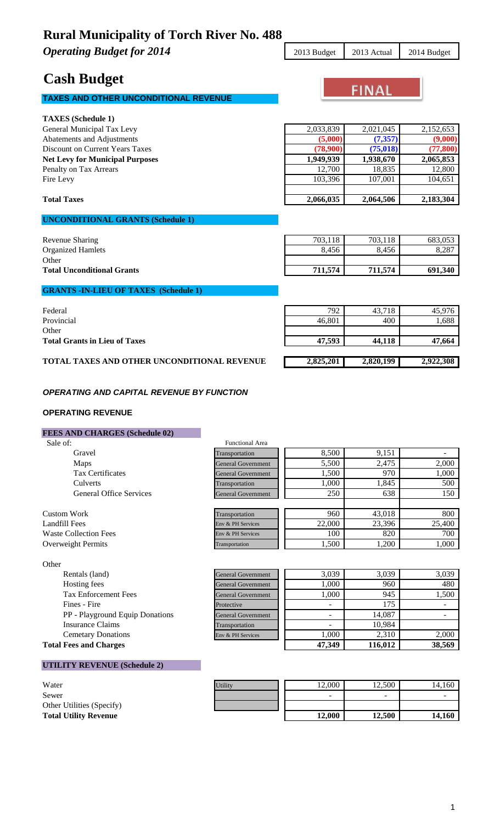**Operating Budget for 2014** 2013 Budget 2013 Actual 2014 Budget

# **Cash Budget**

## **TAXES AND OTHER UNCONDITIONAL REVENUE**

| <b>TAXES</b> (Schedule 1)              |           |           |           |
|----------------------------------------|-----------|-----------|-----------|
| General Municipal Tax Levy             | 2,033,839 | 2.021.045 | 2,152,653 |
| Abatements and Adjustments             | (5,000)   | (7, 357)  | (9,000)   |
| Discount on Current Years Taxes        | (78,900)  | (75, 018) | (77, 800) |
| <b>Net Levy for Municipal Purposes</b> | 1,949,939 | 1,938,670 | 2,065,853 |
| Penalty on Tax Arrears                 | 12,700    | 18,835    | 12,800    |
| Fire Levy                              | 103.396   | 107,001   | 104,651   |
|                                        |           |           |           |
|                                        |           |           |           |

## **UNCONDITIONAL GRANTS (Schedule 1)**

| Revenue Sharing                   | 703.118 | 703,118 | 683,053 |
|-----------------------------------|---------|---------|---------|
| <b>Organized Hamlets</b>          | 8,456   | 8,456   | 8,287   |
| Other                             |         |         |         |
| <b>Total Unconditional Grants</b> | 711.574 | 711.574 | 691,340 |
|                                   |         |         |         |

## **GRANTS -IN-LIEU OF TAXES (Schedule 1)**

| Federal                                     | 792       | 43.718    | 45,976    |
|---------------------------------------------|-----------|-----------|-----------|
| Provincial                                  | 46.801    | 400       | 1,688     |
| Other                                       |           |           |           |
| <b>Total Grants in Lieu of Taxes</b>        | 47.593    | 44.118    | 47,664    |
|                                             |           |           |           |
| TOTAL TAXES AND OTHER UNCONDITIONAL REVENUE | 2,825,201 | 2,820,199 | 2,922,308 |

### *OPERATING AND CAPITAL REVENUE BY FUNCTION*

### **OPERATING REVENUE**

## **FEES AND CHARGES (Schedule 02)**

| Sale of:                       | <b>Functional Area</b>    |        |        |        |
|--------------------------------|---------------------------|--------|--------|--------|
| Gravel                         | Transportation            | 8,500  | 9,151  |        |
| Maps                           | <b>General Government</b> | 5,500  | 2,475  | 2,000  |
| <b>Tax Certificates</b>        | <b>General Government</b> | 1,500  | 970    | 1,000  |
| Culverts                       | Transportation            | 1,000  | 1.845  | 500    |
| <b>General Office Services</b> | <b>General Government</b> | 250    | 638    | 150    |
|                                |                           |        |        |        |
| Custom Work                    | Transportation            | 960    | 43,018 | 800    |
| Landfill Fees                  | Env & PH Services         | 22,000 | 23,396 | 25,400 |
| <b>Waste Collection Fees</b>   | Env & PH Services         | 100    | 820    | 700    |
| Overweight Permits             | Transportation            | 1,500  | 1.200  | 1,000  |

| Other        |                                 |  |
|--------------|---------------------------------|--|
|              | Rentals (land)                  |  |
| Hosting fees |                                 |  |
|              | <b>Tax Enforcement Fees</b>     |  |
| Fines - Fire |                                 |  |
|              | PP - Playground Equip Donations |  |
|              | <b>Insurance Claims</b>         |  |
|              | <b>Cemetary Donations</b>       |  |

| <b>ULILL</b>                           |                           |                          |         |        |
|----------------------------------------|---------------------------|--------------------------|---------|--------|
| Rentals (land)                         | <b>General Government</b> | 3.039                    | 3.039   | 3,039  |
| Hosting fees                           | <b>General Government</b> | .000.                    | 960     | 480    |
| <b>Tax Enforcement Fees</b>            | <b>General Government</b> | .000                     | 945     | 1.500  |
| Fines - Fire                           | Protective                |                          | 175     |        |
| <b>PP</b> - Playground Equip Donations | <b>General Government</b> | -                        | 14.087  |        |
| Insurance Claims                       | Transportation            | $\overline{\phantom{0}}$ | 10.984  |        |
| <b>Cemetary Donations</b>              | Env & PH Services         | .000.                    | 2.310   | 2.000  |
| Total Fees and Charges                 |                           | 47 340                   | 116 012 | 38.560 |

## **UTILITY REVENUE (Schedule 2)**

| Water                        |
|------------------------------|
| Sewer                        |
| Other Utilities (Specify)    |
| <b>Total Utility Revenue</b> |

**Total Fees and Charges 47,349 116,012 38,569**

| Water                        | Utility | 12.000 | 2,500  | 14,160 |
|------------------------------|---------|--------|--------|--------|
| Sewer                        |         | -      | -      |        |
| Other Utilities (Specify)    |         |        |        |        |
| <b>Total Utility Revenue</b> |         | 12.000 | 12,500 | 14.160 |



| Abatements and Adjustments             | (5,000)   | (7, 357)  | (9,000)   |
|----------------------------------------|-----------|-----------|-----------|
| <b>Discount on Current Years Taxes</b> | (78,900)  | (75,018)  | (77,800)  |
| <b>Net Levy for Municipal Purposes</b> | 1.949.939 | 1,938,670 | 2,065,853 |
| Penalty on Tax Arrears                 | 12.700    | 18.835    | 12,800    |
| Fire Levy                              | 103.396   | 107.001   | 104,651   |
|                                        |           |           |           |
| <b>Total Taxes</b>                     | 2,066,035 | 2,064,506 | 2,183,304 |
|                                        |           |           |           |
| <b>TIMOOMINTMIQ</b>                    |           |           |           |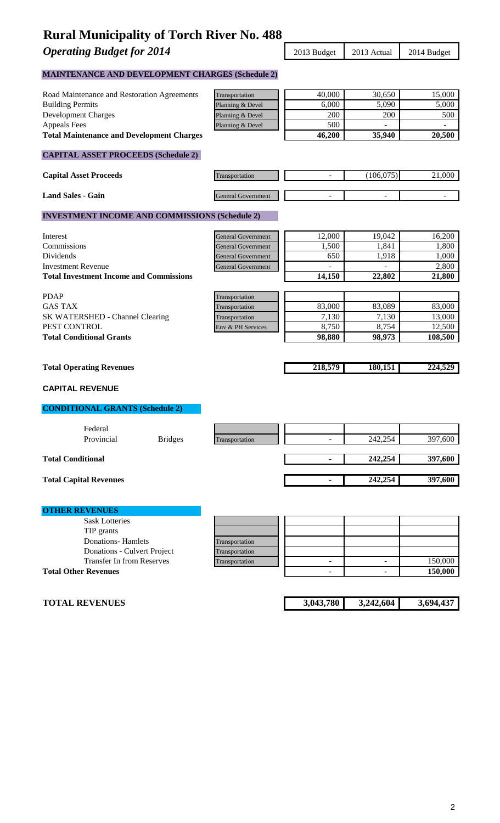**Operating Budget for 2014** 2013 Budget 2013 Actual 2014 Budget

**MAINTENANCE AND DEVELOPMENT CHARGES (Schedule 2)**

| Road Maintenance and Restoration Agreements                     | Transportation            | 40,000                   | 30,650                        | 15,000             |
|-----------------------------------------------------------------|---------------------------|--------------------------|-------------------------------|--------------------|
| <b>Building Permits</b>                                         | Planning & Devel          | 6,000                    | 5,090                         | 5,000              |
| <b>Development Charges</b>                                      | Planning & Devel          | 200                      | 200                           | 500                |
| <b>Appeals Fees</b>                                             | Planning & Devel          | 500                      |                               |                    |
| <b>Total Maintenance and Development Charges</b>                |                           | 46,200                   | 35,940                        | 20,500             |
| <b>CAPITAL ASSET PROCEEDS (Schedule 2)</b>                      |                           |                          |                               |                    |
| <b>Capital Asset Proceeds</b>                                   | Transportation            |                          | (106, 075)                    | 21,000             |
| <b>Land Sales - Gain</b>                                        | General Government        |                          |                               |                    |
| <b>INVESTMENT INCOME AND COMMISSIONS (Schedule 2)</b>           |                           |                          |                               |                    |
| Interest                                                        | <b>General Government</b> | 12,000                   | 19,042                        | 16,200             |
| Commissions                                                     | <b>General Government</b> | 1,500                    | 1,841                         | 1,800              |
| Dividends                                                       | <b>General Government</b> | 650                      | 1,918                         | 1,000              |
| <b>Investment Revenue</b>                                       | General Government        |                          |                               | 2,800              |
| <b>Total Investment Income and Commissions</b>                  |                           | 14,150                   | 22,802                        | 21,800             |
| <b>PDAP</b>                                                     | Transportation            |                          |                               |                    |
| <b>GAS TAX</b>                                                  | Transportation            | 83,000                   | 83,089                        | 83,000             |
| SK WATERSHED - Channel Clearing                                 | Transportation            | 7,130                    | 7,130                         | 13,000             |
| PEST CONTROL                                                    | Env & PH Services         | 8,750                    | 8,754                         | 12,500             |
| <b>Total Conditional Grants</b>                                 |                           | 98,880                   | 98,973                        | 108,500            |
|                                                                 |                           |                          |                               |                    |
| <b>Total Operating Revenues</b>                                 |                           | 218,579                  | 180,151                       | 224,529            |
| <b>CAPITAL REVENUE</b>                                          |                           |                          |                               |                    |
| <b>CONDITIONAL GRANTS (Schedule 2)</b>                          |                           |                          |                               |                    |
| Federal                                                         |                           |                          |                               |                    |
| Provincial<br><b>Bridges</b>                                    | Transportation            | $\blacksquare$           | 242,254                       | 397,600            |
| <b>Total Conditional</b>                                        |                           |                          | 242,254                       | 397,600            |
| <b>Total Capital Revenues</b>                                   |                           |                          | 242,254                       | 397,600            |
|                                                                 |                           |                          |                               |                    |
| <b>OTHER REVENUES</b>                                           |                           |                          |                               |                    |
| <b>Sask Lotteries</b>                                           |                           |                          |                               |                    |
| TIP grants                                                      |                           |                          |                               |                    |
| <b>Donations-Hamlets</b>                                        | Transportation            |                          |                               |                    |
| Donations - Culvert Project                                     | Transportation            |                          |                               |                    |
| <b>Transfer In from Reserves</b><br><b>Total Other Revenues</b> | Transportation            | $\overline{\phantom{a}}$ | $\overline{\phantom{a}}$<br>٠ | 150,000<br>150,000 |
|                                                                 |                           |                          |                               |                    |
|                                                                 |                           |                          |                               |                    |
| <b>TOTAL REVENUES</b>                                           |                           | 3,043,780                | 3,242,604                     | 3,694,437          |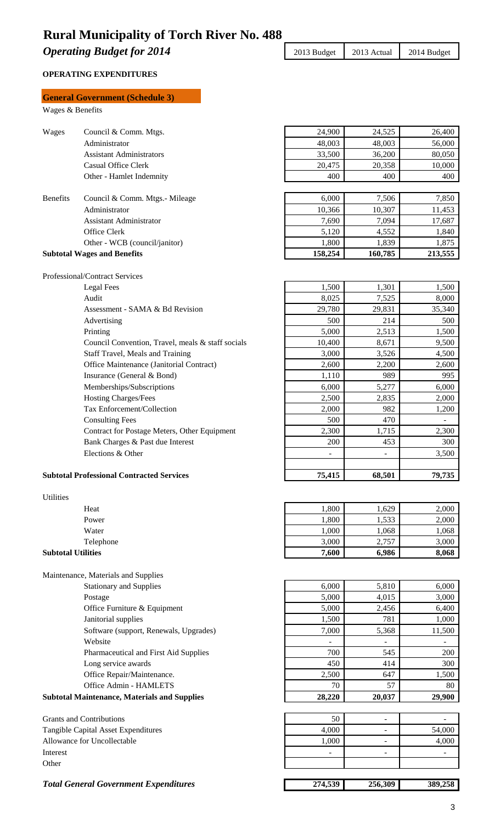**Operating Budget for 2014** 2013 Budget 2013 Actual 2014 Budget

### **OPERATING EXPENDITURES**

## **General Government (Schedule 3)** Wages & Benefits Wages Council & Comm. Mtgs. 24,900 24,525 26,400 Administrator 48,003 48,003 48,003 56,000 Assistant Administrators 33,500 36,200 80,050 Casual Office Clerk 20,475 20,358 10,000 Other - Hamlet Indemnity 400 400 400 Benefits Council & Comm. Mtgs.- Mileage 6,000 7,506 7,850 Administrator 10,366 10,307 11,453<br>Assistant Administrator 7,690 7,094 17.687 Assistant Administrator 17,690 7,094 17,687 Office Clerk 1,840 Other - WCB (council/janitor) 1,800 1,839 1,875 **Subtotal Wages and Benefits** 158,254 160,785 213,555 Professional/Contract Services Legal Fees 1,500 1,301 1,500 1,500 1,500 1,500 1,500 1,500 1,500 1,500 1,500 1,500 1,500 1,500 1,500 1,500 1,500 1,500 1,500 1,500 1,500 1,500 1,500 1,500 1,500 1,500 1,500 1,500 1,500 1,500 1,500 1,500 1,500 1,500 1,500 1 Audit 3,000 8,025 7,525 8,000 Assessment - SAMA & Bd Revision 29,780 29,780 29,831 35,340 Advertising 500 214 500 Printing 2,513 1,500 2,513 1,500 Council Convention, Travel, meals & staff socials  $\begin{array}{|c|c|c|c|c|c|c|c|c|} \hline \end{array}$  10,400  $\begin{array}{|c|c|c|c|c|c|c|c|c|} \hline \end{array}$  8,671 9,500 Staff Travel, Meals and Training 2,000 3,526 4,500 Office Maintenance (Janitorial Contract) 2,600 2,200 2,600 2,600 Insurance (General & Bond) 1,110 989 995 Memberships/Subscriptions 6,000 5,277 6,000 Hosting Charges/Fees 2,500 2,835 2,000 Tax Enforcement/Collection 2,000 982 1,200 Consulting Fees 500 470 Contract for Postage Meters, Other Equipment 2,300 1,715 2,300 Bank Charges & Past due Interest 200 453 300 Elections & Other  $\sim$  3,500 **Subtotal Professional Contracted Services** 75,415 75,415 68,501 79,735 Utilities Heat 1,800 1,629 2,000 Power 2,000 1,533 2,000 Water 1,000 1,068 1,068 1,068 Telephone  $3,000$   $2,757$   $3,000$   $3,000$   $3,000$ **Subtotal Utilities** 7,600 6,986 8,068 Maintenance, Materials and Supplies Stationary and Supplies 6,000 6,000 6,000 6,000 6,000 Postage  $5,000$   $4,015$  3,000 Office Furniture & Equipment 6,400 Janitorial supplies 1,500 781 1,000 Software (support, Renewals, Upgrades) 7,000 5,368 11,500 Website  $\sim$  -  $\sim$  -  $\sim$  -Pharmaceutical and First Aid Supplies 700 545 200 Long service awards  $450 \mid 414 \mid 300$ Office Repair/Maintenance. 2,500 647 1,500 Office Admin - HAMLETS 80 **Subtotal Maintenance, Materials and Supplies 28,220 20,037 20,037 29,900** Grants and Contributions 50 Tangible Capital Asset Expenditures 4,000 - 54,000 Allowance for Uncollectable 1,000 - 4,000 Interest **Interest** and the set of the set of the set of the set of the set of the set of the set of the set of the set of the set of the set of the set of the set of the set of the set of the set of the set of the set of

*Total General Government Expenditures* **274,539 256,309 389,258**

Other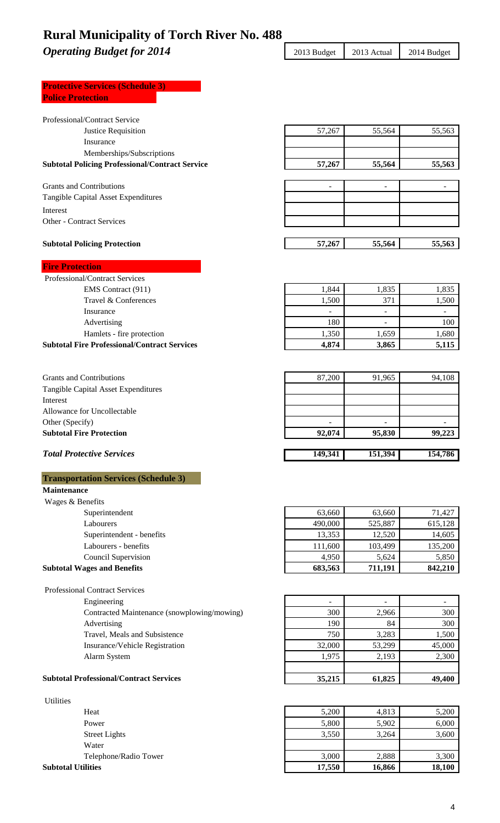**Operating Budget for 2014** 2013 Budget 2013 Actual 2014 Budget

| <b>Protective Services (Schedule 3)</b> |  |
|-----------------------------------------|--|
| <b>Police Protection</b>                |  |
|                                         |  |

| Professional/Contract Service                          |         |                          |         |
|--------------------------------------------------------|---------|--------------------------|---------|
| Justice Requisition                                    | 57,267  | 55,564                   | 55,563  |
| Insurance                                              |         |                          |         |
| Memberships/Subscriptions                              |         |                          |         |
| <b>Subtotal Policing Professional/Contract Service</b> | 57,267  | 55,564                   | 55,563  |
|                                                        |         |                          |         |
| <b>Grants and Contributions</b>                        |         | L.                       |         |
| Tangible Capital Asset Expenditures                    |         |                          |         |
| Interest                                               |         |                          |         |
| <b>Other - Contract Services</b>                       |         |                          |         |
|                                                        |         |                          |         |
| <b>Subtotal Policing Protection</b>                    | 57,267  | 55,564                   | 55,563  |
| <b>Fire Protection</b>                                 |         |                          |         |
| <b>Professional/Contract Services</b>                  |         |                          |         |
| EMS Contract (911)                                     | 1,844   | 1,835                    | 1,835   |
| Travel & Conferences                                   | 1,500   | 371                      | 1,500   |
| Insurance                                              | $\sim$  | $\overline{\phantom{0}}$ | ÷,      |
| Advertising                                            | 180     |                          | 100     |
| Hamlets - fire protection                              | 1,350   | 1,659                    | 1,680   |
| <b>Subtotal Fire Professional/Contract Services</b>    | 4,874   | 3,865                    | 5,115   |
|                                                        |         |                          |         |
|                                                        |         |                          |         |
| <b>Grants and Contributions</b>                        | 87,200  | 91,965                   | 94,108  |
| Tangible Capital Asset Expenditures                    |         |                          |         |
| Interest                                               |         |                          |         |
| Allowance for Uncollectable                            |         |                          |         |
| Other (Specify)                                        |         |                          |         |
| <b>Subtotal Fire Protection</b>                        | 92,074  | 95,830                   | 99,223  |
|                                                        |         |                          |         |
| <b>Total Protective Services</b>                       | 149,341 | 151,394                  | 154,786 |
|                                                        |         |                          |         |
| <b>Transportation Services (Schedule 3)</b>            |         |                          |         |
| <b>Maintenance</b>                                     |         |                          |         |
| Wages & Benefits                                       |         |                          |         |
| Superintendent                                         | 63,660  | 63,660                   | 71,427  |
| Labourers                                              | 490,000 | 525,887                  | 615,128 |
| Superintendent - benefits                              | 13,353  | 12,520                   | 14,605  |
| Labourers - benefits                                   | 111,600 | 103,499                  | 135,200 |
| Council Supervision                                    | 4,950   | 5,624                    | 5,850   |
| <b>Subtotal Wages and Benefits</b>                     | 683,563 | 711,191                  | 842,210 |
|                                                        |         |                          |         |
| <b>Professional Contract Services</b>                  |         |                          |         |
| Engineering                                            |         |                          |         |
| Contracted Maintenance (snowplowing/mowing)            | 300     | 2,966                    | 300     |
| Advertising                                            | 190     | 84                       | 300     |
| Travel, Meals and Subsistence                          | 750     | 3,283                    | 1,500   |
| Insurance/Vehicle Registration                         | 32,000  | 53,299                   | 45,000  |
| Alarm System                                           | 1,975   | 2,193                    | 2,300   |

## **Subtotal Professional/Contract Services** 35,215 61,825 49,400

| <b>Utilities</b>          |        |        |        |
|---------------------------|--------|--------|--------|
| Heat                      | 5,200  | 4,813  | 5,200  |
| Power                     | 5,800  | 5,902  | 6,000  |
| <b>Street Lights</b>      | 3,550  | 3,264  | 3,600  |
| Water                     |        |        |        |
| Telephone/Radio Tower     | 3,000  | 2,888  | 3,300  |
| <b>Subtotal Utilities</b> | 17,550 | 16,866 | 18,100 |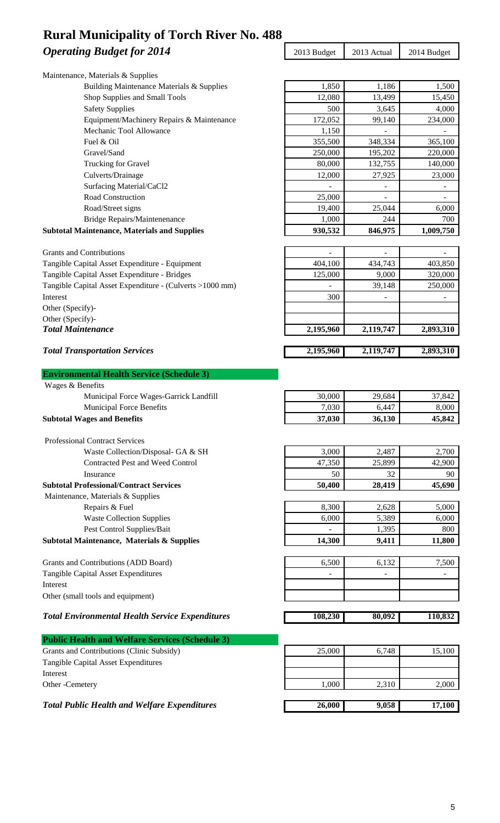## **Operating Budget for 2014** 2013 Budget 2013 Actual 2014 Budget **Rural Municipality of Torch River No. 488**

| Operating Dauger jul 2017                                | $\omega$ 19 Duugtt | 2019 Actual | $2014 \text{ D}$ uugu |
|----------------------------------------------------------|--------------------|-------------|-----------------------|
| Maintenance, Materials & Supplies                        |                    |             |                       |
| Building Maintenance Materials & Supplies                | 1,850              | 1,186       | 1,500                 |
| Shop Supplies and Small Tools                            | 12,080             | 13,499      | 15,450                |
| <b>Safety Supplies</b>                                   | 500                | 3,645       | 4,000                 |
| Equipment/Machinery Repairs & Maintenance                | 172,052            | 99,140      | 234,000               |
| Mechanic Tool Allowance                                  | 1,150              |             |                       |
| Fuel & Oil                                               | 355,500            | 348,334     | 365,100               |
| Gravel/Sand                                              | 250,000            | 195,202     | 220,000               |
| Trucking for Gravel                                      | 80,000             | 132,755     | 140,000               |
| Culverts/Drainage                                        | 12,000             | 27,925      | 23,000                |
| Surfacing Material/CaCl2                                 |                    |             |                       |
| Road Construction                                        | 25,000             |             |                       |
| Road/Street signs                                        | 19,400             | 25,044      | 6,000                 |
| <b>Bridge Repairs/Maintenenance</b>                      | 1,000              | 244         | 700                   |
| <b>Subtotal Maintenance, Materials and Supplies</b>      | 930,532            | 846,975     | 1,009,750             |
|                                                          |                    |             |                       |
| <b>Grants and Contributions</b>                          |                    |             |                       |
| Tangible Capital Asset Expenditure - Equipment           | 404,100            | 434,743     | 403,850               |
| Tangible Capital Asset Expenditure - Bridges             | 125,000            | 9,000       | 320,000               |
| Tangible Capital Asset Expenditure - (Culverts >1000 mm) |                    | 39,148      | 250,000               |
| Interest                                                 | 300                |             |                       |
| Other (Specify)-                                         |                    |             |                       |
| Other (Specify)-<br><b>Total Maintenance</b>             |                    |             |                       |
|                                                          | 2,195,960          | 2,119,747   | 2,893,310             |
| <b>Total Transportation Services</b>                     | 2,195,960          | 2,119,747   | 2,893,310             |
|                                                          |                    |             |                       |
| <b>Environmental Health Service (Schedule 3)</b>         |                    |             |                       |
| Wages & Benefits                                         |                    |             |                       |
| Municipal Force Wages-Garrick Landfill                   | 30,000             | 29,684      | 37,842                |
| Municipal Force Benefits                                 | 7,030              | 6,447       | 8,000                 |
| <b>Subtotal Wages and Benefits</b>                       | 37,030             | 36,130      | 45,842                |
| <b>Professional Contract Services</b>                    |                    |             |                       |
| Waste Collection/Disposal- GA & SH                       | 3,000              | 2,487       | 2,700                 |
| Contracted Pest and Weed Control                         | 47,350             | 25,899      | 42,900                |
| Insurance                                                | 50                 | 32          | 90                    |
| <b>Subtotal Professional/Contract Services</b>           | 50,400             | 28,419      | 45,690                |
| Maintenance, Materials & Supplies                        |                    |             |                       |
| Repairs & Fuel                                           | 8,300              | 2,628       | 5,000                 |
| <b>Waste Collection Supplies</b>                         | 6,000              | 5,389       | 6,000                 |
| Pest Control Supplies/Bait                               |                    | 1,395       | 800                   |
| Subtotal Maintenance, Materials & Supplies               | 14,300             | 9,411       | 11,800                |
|                                                          |                    |             |                       |
| Grants and Contributions (ADD Board)                     | 6,500              | 6,132       | 7,500                 |
| Tangible Capital Asset Expenditures                      |                    |             |                       |
| Interest                                                 |                    |             |                       |
| Other (small tools and equipment)                        |                    |             |                       |
| <b>Total Environmental Health Service Expenditures</b>   | 108,230            | 80,092      | 110,832               |
|                                                          |                    |             |                       |
| <b>Public Health and Welfare Services (Schedule 3)</b>   |                    |             |                       |
| Grants and Contributions (Clinic Subsidy)                | 25,000             | 6,748       | 15,100                |
| Tangible Capital Asset Expenditures                      |                    |             |                       |
| Interest                                                 |                    |             |                       |
| Other -Cemetery                                          | 1,000              | 2,310       | 2,000                 |
|                                                          |                    |             |                       |

*Total Public Health and Welfare Expenditures* 26,000 9,058 17,100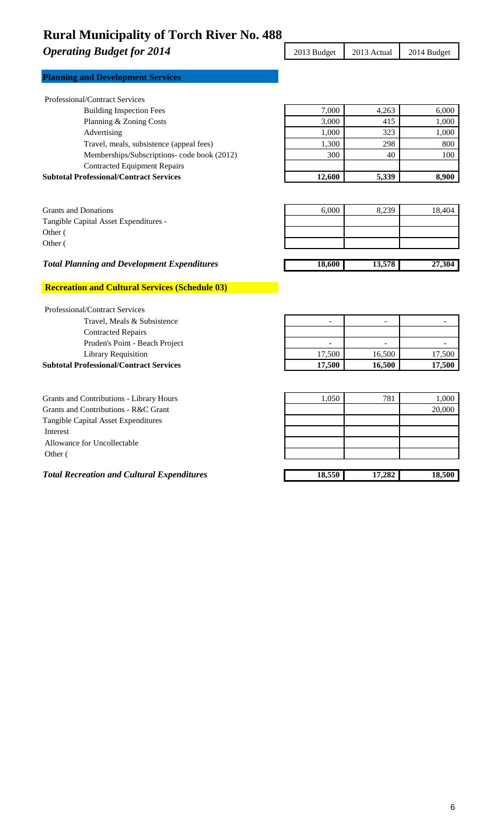**Operating Budget for 2014** 2013 Budget 2013 Actual 2014 Budget

| <b>Planning and Development Services</b> |
|------------------------------------------|
|------------------------------------------|

| <b>Subtotal Professional/Contract Services</b> | 12,600 | 5,339 | 8,900 |
|------------------------------------------------|--------|-------|-------|
| <b>Contracted Equipment Repairs</b>            |        |       |       |
| Memberships/Subscriptions- code book (2012)    | 300    | 40    | 100   |
| Travel, meals, subsistence (appeal fees)       | 1,300  | 298   | 800   |
| Advertising                                    | 1,000  | 323   | 1,000 |
| Planning & Zoning Costs                        | 3,000  | 415   | 1,000 |
| <b>Building Inspection Fees</b>                | 7.000  | 4,263 | 6,000 |

| <b>Grants and Donations</b>           | 6,000 | 8,239 | 18.404 |
|---------------------------------------|-------|-------|--------|
| Tangible Capital Asset Expenditures - |       |       |        |
| Other (                               |       |       |        |
| Other (                               |       |       |        |
|                                       |       |       |        |

## *Total Planning and Development Expenditures* 18,600 13,578 27,304

## **Recreation and Cultural Services (Schedule 03)**

| <b>Professional/Contract Services</b>          |                          |                          |        |
|------------------------------------------------|--------------------------|--------------------------|--------|
| Travel, Meals & Subsistence                    | $\overline{\phantom{0}}$ | $\overline{\phantom{a}}$ |        |
| <b>Contracted Repairs</b>                      |                          |                          |        |
| Pruden's Point - Beach Project                 | $\overline{\phantom{0}}$ | -                        |        |
| <b>Library Requisition</b>                     | 17,500                   | 16,500                   | 17,500 |
| <b>Subtotal Professional/Contract Services</b> | 17.500                   | 16.500                   | 17,500 |
|                                                |                          |                          |        |

| Grants and Contributions - Library Hours          | 1.050  | 781    | 1,000  |
|---------------------------------------------------|--------|--------|--------|
| Grants and Contributions - R&C Grant              |        |        | 20,000 |
| Tangible Capital Asset Expenditures               |        |        |        |
| Interest                                          |        |        |        |
| Allowance for Uncollectable                       |        |        |        |
| Other (                                           |        |        |        |
|                                                   |        |        |        |
| <b>Total Recreation and Cultural Expenditures</b> | 18,550 | 17,282 | 18,500 |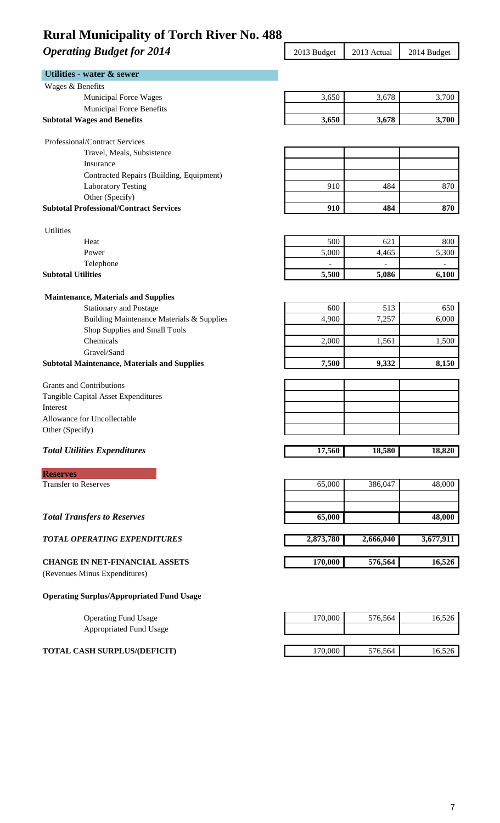# **Operating Budget for 2014** 2013 Budget 2013 Actual 2014 Budget

| Wages & Benefits<br><b>Municipal Force Wages</b><br>Municipal Force Benefits<br><b>Subtotal Wages and Benefits</b><br>Professional/Contract Services<br>Travel, Meals, Subsistence<br>Insurance<br>Contracted Repairs (Building, Equipment)<br><b>Laboratory Testing</b><br>Other (Specify)<br><b>Subtotal Professional/Contract Services</b><br><b>Utilities</b><br>Heat<br>Power<br>Telephone<br><b>Subtotal Utilities</b><br><b>Maintenance, Materials and Supplies</b><br><b>Stationary and Postage</b><br>Building Maintenance Materials & Supplies<br>Shop Supplies and Small Tools<br>Chemicals<br>Gravel/Sand | 3,650<br>3,650<br>910<br>910<br>500<br>5,000<br>5,500<br>600<br>4,900<br>2,000 | 3,678<br>3,678<br>484<br>484<br>621<br>4,465<br>5,086<br>513<br>7,257<br>1,561 | 3,700<br>3,700<br>870<br>870<br>800<br>5,300<br>$\overline{a}$<br>6,100<br>650<br>6,000<br>1,500 |
|-----------------------------------------------------------------------------------------------------------------------------------------------------------------------------------------------------------------------------------------------------------------------------------------------------------------------------------------------------------------------------------------------------------------------------------------------------------------------------------------------------------------------------------------------------------------------------------------------------------------------|--------------------------------------------------------------------------------|--------------------------------------------------------------------------------|--------------------------------------------------------------------------------------------------|
|                                                                                                                                                                                                                                                                                                                                                                                                                                                                                                                                                                                                                       |                                                                                |                                                                                |                                                                                                  |
|                                                                                                                                                                                                                                                                                                                                                                                                                                                                                                                                                                                                                       |                                                                                |                                                                                |                                                                                                  |
|                                                                                                                                                                                                                                                                                                                                                                                                                                                                                                                                                                                                                       |                                                                                |                                                                                |                                                                                                  |
|                                                                                                                                                                                                                                                                                                                                                                                                                                                                                                                                                                                                                       |                                                                                |                                                                                |                                                                                                  |
|                                                                                                                                                                                                                                                                                                                                                                                                                                                                                                                                                                                                                       |                                                                                |                                                                                |                                                                                                  |
|                                                                                                                                                                                                                                                                                                                                                                                                                                                                                                                                                                                                                       |                                                                                |                                                                                |                                                                                                  |
|                                                                                                                                                                                                                                                                                                                                                                                                                                                                                                                                                                                                                       |                                                                                |                                                                                |                                                                                                  |
|                                                                                                                                                                                                                                                                                                                                                                                                                                                                                                                                                                                                                       |                                                                                |                                                                                |                                                                                                  |
|                                                                                                                                                                                                                                                                                                                                                                                                                                                                                                                                                                                                                       |                                                                                |                                                                                |                                                                                                  |
|                                                                                                                                                                                                                                                                                                                                                                                                                                                                                                                                                                                                                       |                                                                                |                                                                                |                                                                                                  |
|                                                                                                                                                                                                                                                                                                                                                                                                                                                                                                                                                                                                                       |                                                                                |                                                                                |                                                                                                  |
|                                                                                                                                                                                                                                                                                                                                                                                                                                                                                                                                                                                                                       |                                                                                |                                                                                |                                                                                                  |
|                                                                                                                                                                                                                                                                                                                                                                                                                                                                                                                                                                                                                       |                                                                                |                                                                                |                                                                                                  |
|                                                                                                                                                                                                                                                                                                                                                                                                                                                                                                                                                                                                                       |                                                                                |                                                                                |                                                                                                  |
|                                                                                                                                                                                                                                                                                                                                                                                                                                                                                                                                                                                                                       |                                                                                |                                                                                |                                                                                                  |
|                                                                                                                                                                                                                                                                                                                                                                                                                                                                                                                                                                                                                       |                                                                                |                                                                                |                                                                                                  |
|                                                                                                                                                                                                                                                                                                                                                                                                                                                                                                                                                                                                                       |                                                                                |                                                                                |                                                                                                  |
|                                                                                                                                                                                                                                                                                                                                                                                                                                                                                                                                                                                                                       |                                                                                |                                                                                |                                                                                                  |
|                                                                                                                                                                                                                                                                                                                                                                                                                                                                                                                                                                                                                       |                                                                                |                                                                                |                                                                                                  |
|                                                                                                                                                                                                                                                                                                                                                                                                                                                                                                                                                                                                                       |                                                                                |                                                                                |                                                                                                  |
|                                                                                                                                                                                                                                                                                                                                                                                                                                                                                                                                                                                                                       |                                                                                |                                                                                |                                                                                                  |
|                                                                                                                                                                                                                                                                                                                                                                                                                                                                                                                                                                                                                       |                                                                                |                                                                                |                                                                                                  |
|                                                                                                                                                                                                                                                                                                                                                                                                                                                                                                                                                                                                                       |                                                                                |                                                                                |                                                                                                  |
| <b>Subtotal Maintenance, Materials and Supplies</b>                                                                                                                                                                                                                                                                                                                                                                                                                                                                                                                                                                   | 7,500                                                                          | 9,332                                                                          | 8,150                                                                                            |
| <b>Grants and Contributions</b>                                                                                                                                                                                                                                                                                                                                                                                                                                                                                                                                                                                       |                                                                                |                                                                                |                                                                                                  |
| Tangible Capital Asset Expenditures                                                                                                                                                                                                                                                                                                                                                                                                                                                                                                                                                                                   |                                                                                |                                                                                |                                                                                                  |
| Interest                                                                                                                                                                                                                                                                                                                                                                                                                                                                                                                                                                                                              |                                                                                |                                                                                |                                                                                                  |
| Allowance for Uncollectable                                                                                                                                                                                                                                                                                                                                                                                                                                                                                                                                                                                           |                                                                                |                                                                                |                                                                                                  |
| Other (Specify)                                                                                                                                                                                                                                                                                                                                                                                                                                                                                                                                                                                                       |                                                                                |                                                                                |                                                                                                  |
|                                                                                                                                                                                                                                                                                                                                                                                                                                                                                                                                                                                                                       |                                                                                |                                                                                |                                                                                                  |
| <b>Total Utilities Expenditures</b>                                                                                                                                                                                                                                                                                                                                                                                                                                                                                                                                                                                   | 17,560                                                                         | 18,580                                                                         | 18,820                                                                                           |
| <b>Reserves</b>                                                                                                                                                                                                                                                                                                                                                                                                                                                                                                                                                                                                       |                                                                                |                                                                                |                                                                                                  |
| <b>Transfer to Reserves</b>                                                                                                                                                                                                                                                                                                                                                                                                                                                                                                                                                                                           | 65,000                                                                         | 386,047                                                                        | 48,000                                                                                           |
| <b>Total Transfers to Reserves</b>                                                                                                                                                                                                                                                                                                                                                                                                                                                                                                                                                                                    | 65,000                                                                         |                                                                                | 48,000                                                                                           |
|                                                                                                                                                                                                                                                                                                                                                                                                                                                                                                                                                                                                                       |                                                                                |                                                                                |                                                                                                  |
| <b>TOTAL OPERATING EXPENDITURES</b>                                                                                                                                                                                                                                                                                                                                                                                                                                                                                                                                                                                   | 2,873,780                                                                      | 2,666,040                                                                      | 3,677,911                                                                                        |
| <b>CHANGE IN NET-FINANCIAL ASSETS</b>                                                                                                                                                                                                                                                                                                                                                                                                                                                                                                                                                                                 | 170,000                                                                        | 576,564                                                                        | 16,526                                                                                           |
| (Revenues Minus Expenditures)                                                                                                                                                                                                                                                                                                                                                                                                                                                                                                                                                                                         |                                                                                |                                                                                |                                                                                                  |
| <b>Operating Surplus/Appropriated Fund Usage</b>                                                                                                                                                                                                                                                                                                                                                                                                                                                                                                                                                                      |                                                                                |                                                                                |                                                                                                  |
| <b>Operating Fund Usage</b>                                                                                                                                                                                                                                                                                                                                                                                                                                                                                                                                                                                           | 170,000                                                                        | 576,564                                                                        | 16,526                                                                                           |
| <b>Appropriated Fund Usage</b>                                                                                                                                                                                                                                                                                                                                                                                                                                                                                                                                                                                        |                                                                                |                                                                                |                                                                                                  |
| <b>TOTAL CASH SURPLUS/(DEFICIT)</b>                                                                                                                                                                                                                                                                                                                                                                                                                                                                                                                                                                                   | 170,000                                                                        | 576,564                                                                        | 16,526                                                                                           |
|                                                                                                                                                                                                                                                                                                                                                                                                                                                                                                                                                                                                                       |                                                                                |                                                                                |                                                                                                  |